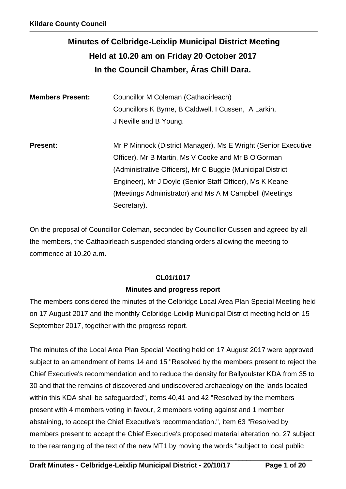# **Minutes of Celbridge-Leixlip Municipal District Meeting Held at 10.20 am on Friday 20 October 2017 In the Council Chamber, Áras Chill Dara.**

| <b>Members Present:</b> | Councillor M Coleman (Cathaoirleach)<br>Councillors K Byrne, B Caldwell, I Cussen, A Larkin,<br>J Neville and B Young.                                                                                                                          |
|-------------------------|-------------------------------------------------------------------------------------------------------------------------------------------------------------------------------------------------------------------------------------------------|
| <b>Present:</b>         | Mr P Minnock (District Manager), Ms E Wright (Senior Executive<br>Officer), Mr B Martin, Ms V Cooke and Mr B O'Gorman<br>(Administrative Officers), Mr C Buggie (Municipal District<br>Engineer), Mr J Doyle (Senior Staff Officer), Ms K Keane |
|                         | (Meetings Administrator) and Ms A M Campbell (Meetings<br>Secretary).                                                                                                                                                                           |

On the proposal of Councillor Coleman, seconded by Councillor Cussen and agreed by all the members, the Cathaoirleach suspended standing orders allowing the meeting to commence at 10.20 a.m.

# **CL01/1017**

# **Minutes and progress report**

The members considered the minutes of the Celbridge Local Area Plan Special Meeting held on 17 August 2017 and the monthly Celbridge-Leixlip Municipal District meeting held on 15 September 2017, together with the progress report.

The minutes of the Local Area Plan Special Meeting held on 17 August 2017 were approved subject to an amendment of items 14 and 15 "Resolved by the members present to reject the Chief Executive's recommendation and to reduce the density for Ballyoulster KDA from 35 to 30 and that the remains of discovered and undiscovered archaeology on the lands located within this KDA shall be safeguarded", items 40,41 and 42 "Resolved by the members present with 4 members voting in favour, 2 members voting against and 1 member abstaining, to accept the Chief Executive's recommendation.", item 63 "Resolved by members present to accept the Chief Executive's proposed material alteration no. 27 subject to the rearranging of the text of the new MT1 by moving the words "subject to local public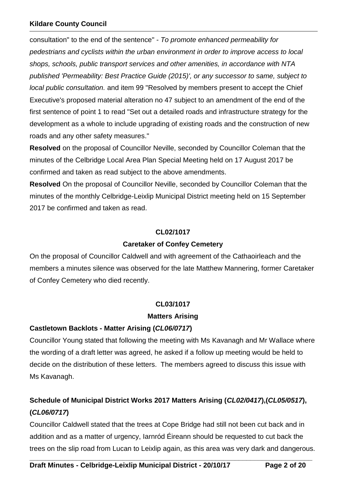consultation" to the end of the sentence" - *To promote enhanced permeability for pedestrians and cyclists within the urban environment in order to improve access to local shops, schools, public transport services and other amenities, in accordance with NTA published 'Permeability: Best Practice Guide (2015)', or any successor to same, subject to local public consultation.* and item 99 "Resolved by members present to accept the Chief Executive's proposed material alteration no 47 subject to an amendment of the end of the first sentence of point 1 to read "Set out a detailed roads and infrastructure strategy for the development as a whole to include upgrading of existing roads and the construction of new roads and any other safety measures."

**Resolved** on the proposal of Councillor Neville, seconded by Councillor Coleman that the minutes of the Celbridge Local Area Plan Special Meeting held on 17 August 2017 be confirmed and taken as read subject to the above amendments.

**Resolved** On the proposal of Councillor Neville, seconded by Councillor Coleman that the minutes of the monthly Celbridge-Leixlip Municipal District meeting held on 15 September 2017 be confirmed and taken as read.

#### **CL02/1017**

#### **Caretaker of Confey Cemetery**

On the proposal of Councillor Caldwell and with agreement of the Cathaoirleach and the members a minutes silence was observed for the late Matthew Mannering, former Caretaker of Confey Cemetery who died recently.

### **CL03/1017**

### **Matters Arising**

### **Castletown Backlots - Matter Arising (***CL06/0717***)**

Councillor Young stated that following the meeting with Ms Kavanagh and Mr Wallace where the wording of a draft letter was agreed, he asked if a follow up meeting would be held to decide on the distribution of these letters. The members agreed to discuss this issue with Ms Kavanagh.

# **Schedule of Municipal District Works 2017 Matters Arising (***CL02/0417***),(***CL05/0517***), (***CL06/0717***)**

Councillor Caldwell stated that the trees at Cope Bridge had still not been cut back and in addition and as a matter of urgency, Iarnród Éireann should be requested to cut back the trees on the slip road from Lucan to Leixlip again, as this area was very dark and dangerous.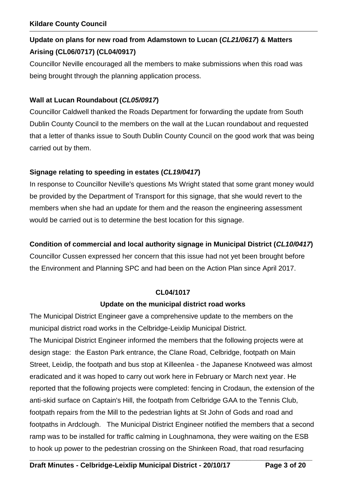# **Update on plans for new road from Adamstown to Lucan (***CL21/0617***) & Matters Arising (CL06/0717) (CL04/0917)**

Councillor Neville encouraged all the members to make submissions when this road was being brought through the planning application process.

# **Wall at Lucan Roundabout (***CL05/0917***)**

Councillor Caldwell thanked the Roads Department for forwarding the update from South Dublin County Council to the members on the wall at the Lucan roundabout and requested that a letter of thanks issue to South Dublin County Council on the good work that was being carried out by them.

# **Signage relating to speeding in estates (***CL19/0417***)**

In response to Councillor Neville's questions Ms Wright stated that some grant money would be provided by the Department of Transport for this signage, that she would revert to the members when she had an update for them and the reason the engineering assessment would be carried out is to determine the best location for this signage.

# **Condition of commercial and local authority signage in Municipal District (***CL10/0417***)**

Councillor Cussen expressed her concern that this issue had not yet been brought before the Environment and Planning SPC and had been on the Action Plan since April 2017.

### **CL04/1017**

### **Update on the municipal district road works**

The Municipal District Engineer gave a comprehensive update to the members on the municipal district road works in the Celbridge-Leixlip Municipal District. The Municipal District Engineer informed the members that the following projects were at design stage: the Easton Park entrance, the Clane Road, Celbridge, footpath on Main Street, Leixlip, the footpath and bus stop at Killeenlea - the Japanese Knotweed was almost eradicated and it was hoped to carry out work here in February or March next year. He reported that the following projects were completed: fencing in Crodaun, the extension of the anti-skid surface on Captain's Hill, the footpath from Celbridge GAA to the Tennis Club, footpath repairs from the Mill to the pedestrian lights at St John of Gods and road and footpaths in Ardclough. The Municipal District Engineer notified the members that a second ramp was to be installed for traffic calming in Loughnamona, they were waiting on the ESB to hook up power to the pedestrian crossing on the Shinkeen Road, that road resurfacing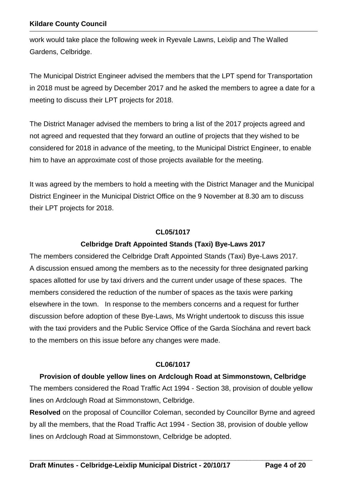work would take place the following week in Ryevale Lawns, Leixlip and The Walled Gardens, Celbridge.

The Municipal District Engineer advised the members that the LPT spend for Transportation in 2018 must be agreed by December 2017 and he asked the members to agree a date for a meeting to discuss their LPT projects for 2018.

The District Manager advised the members to bring a list of the 2017 projects agreed and not agreed and requested that they forward an outline of projects that they wished to be considered for 2018 in advance of the meeting, to the Municipal District Engineer, to enable him to have an approximate cost of those projects available for the meeting.

It was agreed by the members to hold a meeting with the District Manager and the Municipal District Engineer in the Municipal District Office on the 9 November at 8.30 am to discuss their LPT projects for 2018.

#### **CL05/1017**

# **Celbridge Draft Appointed Stands (Taxi) Bye-Laws 2017**

The members considered the Celbridge Draft Appointed Stands (Taxi) Bye-Laws 2017. A discussion ensued among the members as to the necessity for three designated parking spaces allotted for use by taxi drivers and the current under usage of these spaces. The members considered the reduction of the number of spaces as the taxis were parking elsewhere in the town. In response to the members concerns and a request for further discussion before adoption of these Bye-Laws, Ms Wright undertook to discuss this issue with the taxi providers and the Public Service Office of the Garda Síochána and revert back to the members on this issue before any changes were made.

### **CL06/1017**

**Provision of double yellow lines on Ardclough Road at Simmonstown, Celbridge**

The members considered the Road Traffic Act 1994 - Section 38, provision of double yellow lines on Ardclough Road at Simmonstown, Celbridge.

**Resolved** on the proposal of Councillor Coleman, seconded by Councillor Byrne and agreed by all the members, that the Road Traffic Act 1994 - Section 38, provision of double yellow lines on Ardclough Road at Simmonstown, Celbridge be adopted.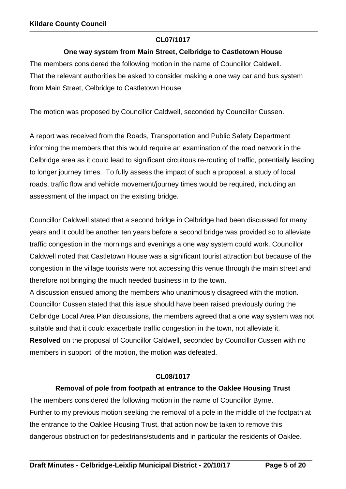# **CL07/1017**

# **One way system from Main Street, Celbridge to Castletown House**

The members considered the following motion in the name of Councillor Caldwell. That the relevant authorities be asked to consider making a one way car and bus system from Main Street, Celbridge to Castletown House.

The motion was proposed by Councillor Caldwell, seconded by Councillor Cussen.

A report was received from the Roads, Transportation and Public Safety Department informing the members that this would require an examination of the road network in the Celbridge area as it could lead to significant circuitous re-routing of traffic, potentially leading to longer journey times. To fully assess the impact of such a proposal, a study of local roads, traffic flow and vehicle movement/journey times would be required, including an assessment of the impact on the existing bridge.

Councillor Caldwell stated that a second bridge in Celbridge had been discussed for many years and it could be another ten years before a second bridge was provided so to alleviate traffic congestion in the mornings and evenings a one way system could work. Councillor Caldwell noted that Castletown House was a significant tourist attraction but because of the congestion in the village tourists were not accessing this venue through the main street and therefore not bringing the much needed business in to the town.

A discussion ensued among the members who unanimously disagreed with the motion. Councillor Cussen stated that this issue should have been raised previously during the Celbridge Local Area Plan discussions, the members agreed that a one way system was not suitable and that it could exacerbate traffic congestion in the town, not alleviate it. **Resolved** on the proposal of Councillor Caldwell, seconded by Councillor Cussen with no members in support of the motion, the motion was defeated.

### **CL08/1017**

# **Removal of pole from footpath at entrance to the Oaklee Housing Trust**

The members considered the following motion in the name of Councillor Byrne. Further to my previous motion seeking the removal of a pole in the middle of the footpath at the entrance to the Oaklee Housing Trust, that action now be taken to remove this dangerous obstruction for pedestrians/students and in particular the residents of Oaklee.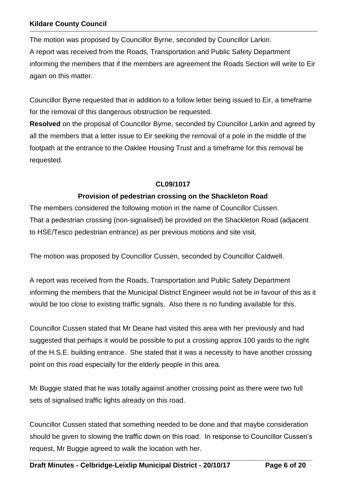The motion was proposed by Councillor Byrne, seconded by Councillor Larkin. A report was received from the Roads, Transportation and Public Safety Department informing the members that if the members are agreement the Roads Section will write to Eir again on this matter.

Councillor Byrne requested that in addition to a follow letter being issued to Eir, a timeframe for the removal of this dangerous obstruction be requested.

**Resolved** on the proposal of Councillor Byrne, seconded by Councillor Larkin and agreed by all the members that a letter issue to Eir seeking the removal of a pole in the middle of the footpath at the entrance to the Oaklee Housing Trust and a timeframe for this removal be requested.

# **CL09/1017**

# **Provision of pedestrian crossing on the Shackleton Road**

The members considered the following motion in the name of Councillor Cussen. That a pedestrian crossing (non-signalised) be provided on the Shackleton Road (adjacent to HSE/Tesco pedestrian entrance) as per previous motions and site visit.

The motion was proposed by Councillor Cussen, seconded by Councillor Caldwell.

A report was received from the Roads, Transportation and Public Safety Department informing the members that the Municipal District Engineer would not be in favour of this as it would be too close to existing traffic signals. Also there is no funding available for this.

Councillor Cussen stated that Mr Deane had visited this area with her previously and had suggested that perhaps it would be possible to put a crossing approx 100 yards to the right of the H.S.E. building entrance. She stated that it was a necessity to have another crossing point on this road especially for the elderly people in this area.

Mr Buggie stated that he was totally against another crossing point as there were two full sets of signalised traffic lights already on this road.

Councillor Cussen stated that something needed to be done and that maybe consideration should be given to slowing the traffic down on this road. In response to Councillor Cussen's request, Mr Buggie agreed to walk the location with her.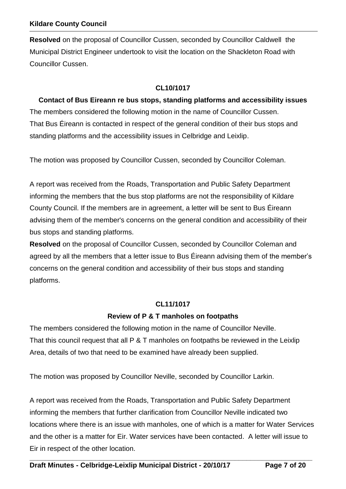**Resolved** on the proposal of Councillor Cussen, seconded by Councillor Caldwell the Municipal District Engineer undertook to visit the location on the Shackleton Road with Councillor Cussen.

# **CL10/1017**

**Contact of Bus Eireann re bus stops, standing platforms and accessibility issues**  The members considered the following motion in the name of Councillor Cussen. That Bus Éireann is contacted in respect of the general condition of their bus stops and standing platforms and the accessibility issues in Celbridge and Leixlip.

The motion was proposed by Councillor Cussen, seconded by Councillor Coleman.

A report was received from the Roads, Transportation and Public Safety Department informing the members that the bus stop platforms are not the responsibility of Kildare County Council. If the members are in agreement, a letter will be sent to Bus Éireann advising them of the member's concerns on the general condition and accessibility of their bus stops and standing platforms.

**Resolved** on the proposal of Councillor Cussen, seconded by Councillor Coleman and agreed by all the members that a letter issue to Bus Éireann advising them of the member's concerns on the general condition and accessibility of their bus stops and standing platforms.

### **CL11/1017**

# **Review of P & T manholes on footpaths**

The members considered the following motion in the name of Councillor Neville. That this council request that all P & T manholes on footpaths be reviewed in the Leixlip Area, details of two that need to be examined have already been supplied.

The motion was proposed by Councillor Neville, seconded by Councillor Larkin.

A report was received from the Roads, Transportation and Public Safety Department informing the members that further clarification from Councillor Neville indicated two locations where there is an issue with manholes, one of which is a matter for Water Services and the other is a matter for Eir. Water services have been contacted. A letter will issue to Eir in respect of the other location.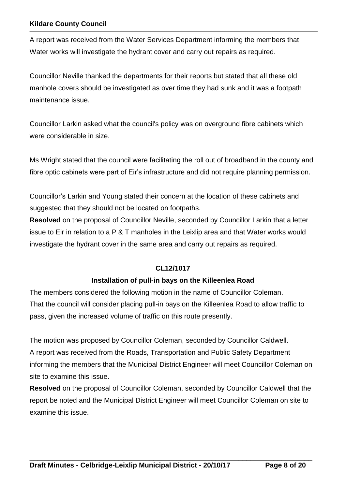A report was received from the Water Services Department informing the members that Water works will investigate the hydrant cover and carry out repairs as required.

Councillor Neville thanked the departments for their reports but stated that all these old manhole covers should be investigated as over time they had sunk and it was a footpath maintenance issue.

Councillor Larkin asked what the council's policy was on overground fibre cabinets which were considerable in size.

Ms Wright stated that the council were facilitating the roll out of broadband in the county and fibre optic cabinets were part of Eir's infrastructure and did not require planning permission.

Councillor's Larkin and Young stated their concern at the location of these cabinets and suggested that they should not be located on footpaths.

**Resolved** on the proposal of Councillor Neville, seconded by Councillor Larkin that a letter issue to Eir in relation to a P & T manholes in the Leixlip area and that Water works would investigate the hydrant cover in the same area and carry out repairs as required.

# **CL12/1017**

# **Installation of pull-in bays on the Killeenlea Road**

The members considered the following motion in the name of Councillor Coleman. That the council will consider placing pull-in bays on the Killeenlea Road to allow traffic to pass, given the increased volume of traffic on this route presently.

The motion was proposed by Councillor Coleman, seconded by Councillor Caldwell. A report was received from the Roads, Transportation and Public Safety Department informing the members that the Municipal District Engineer will meet Councillor Coleman on site to examine this issue.

**Resolved** on the proposal of Councillor Coleman, seconded by Councillor Caldwell that the report be noted and the Municipal District Engineer will meet Councillor Coleman on site to examine this issue.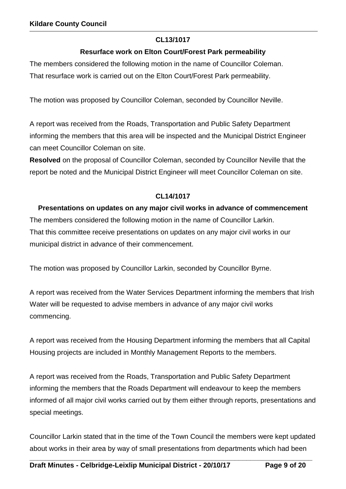# **CL13/1017**

# **Resurface work on Elton Court/Forest Park permeability**

The members considered the following motion in the name of Councillor Coleman. That resurface work is carried out on the Elton Court/Forest Park permeability.

The motion was proposed by Councillor Coleman, seconded by Councillor Neville.

A report was received from the Roads, Transportation and Public Safety Department informing the members that this area will be inspected and the Municipal District Engineer can meet Councillor Coleman on site.

**Resolved** on the proposal of Councillor Coleman, seconded by Councillor Neville that the report be noted and the Municipal District Engineer will meet Councillor Coleman on site.

# **CL14/1017**

# **Presentations on updates on any major civil works in advance of commencement**

The members considered the following motion in the name of Councillor Larkin. That this committee receive presentations on updates on any major civil works in our municipal district in advance of their commencement.

The motion was proposed by Councillor Larkin, seconded by Councillor Byrne.

A report was received from the Water Services Department informing the members that Irish Water will be requested to advise members in advance of any major civil works commencing.

A report was received from the Housing Department informing the members that all Capital Housing projects are included in Monthly Management Reports to the members.

A report was received from the Roads, Transportation and Public Safety Department informing the members that the Roads Department will endeavour to keep the members informed of all major civil works carried out by them either through reports, presentations and special meetings.

Councillor Larkin stated that in the time of the Town Council the members were kept updated about works in their area by way of small presentations from departments which had been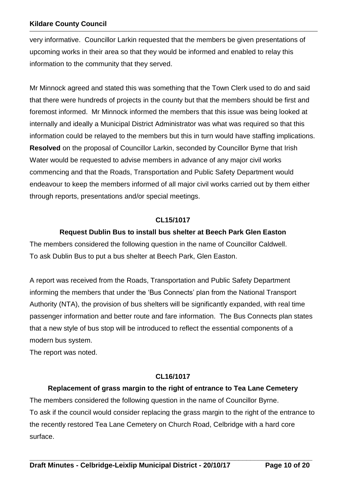very informative. Councillor Larkin requested that the members be given presentations of upcoming works in their area so that they would be informed and enabled to relay this information to the community that they served.

Mr Minnock agreed and stated this was something that the Town Clerk used to do and said that there were hundreds of projects in the county but that the members should be first and foremost informed. Mr Minnock informed the members that this issue was being looked at internally and ideally a Municipal District Administrator was what was required so that this information could be relayed to the members but this in turn would have staffing implications. **Resolved** on the proposal of Councillor Larkin, seconded by Councillor Byrne that Irish Water would be requested to advise members in advance of any major civil works commencing and that the Roads, Transportation and Public Safety Department would endeavour to keep the members informed of all major civil works carried out by them either through reports, presentations and/or special meetings.

# **CL15/1017**

# **Request Dublin Bus to install bus shelter at Beech Park Glen Easton**

The members considered the following question in the name of Councillor Caldwell. To ask Dublin Bus to put a bus shelter at Beech Park, Glen Easton.

A report was received from the Roads, Transportation and Public Safety Department informing the members that under the 'Bus Connects' plan from the National Transport Authority (NTA), the provision of bus shelters will be significantly expanded, with real time passenger information and better route and fare information. The Bus Connects plan states that a new style of bus stop will be introduced to reflect the essential components of a modern bus system.

The report was noted.

# **CL16/1017**

# **Replacement of grass margin to the right of entrance to Tea Lane Cemetery**

The members considered the following question in the name of Councillor Byrne. To ask if the council would consider replacing the grass margin to the right of the entrance to the recently restored Tea Lane Cemetery on Church Road, Celbridge with a hard core surface.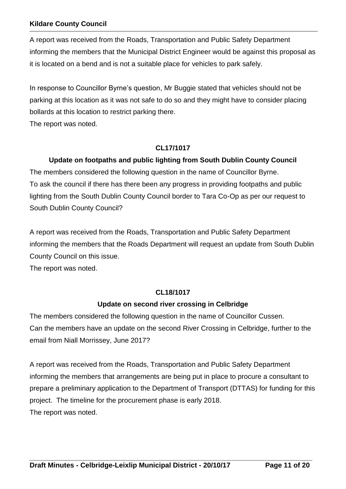A report was received from the Roads, Transportation and Public Safety Department informing the members that the Municipal District Engineer would be against this proposal as it is located on a bend and is not a suitable place for vehicles to park safely.

In response to Councillor Byrne's question, Mr Buggie stated that vehicles should not be parking at this location as it was not safe to do so and they might have to consider placing bollards at this location to restrict parking there.

The report was noted.

# **CL17/1017**

# **Update on footpaths and public lighting from South Dublin County Council**

The members considered the following question in the name of Councillor Byrne. To ask the council if there has there been any progress in providing footpaths and public lighting from the South Dublin County Council border to Tara Co-Op as per our request to South Dublin County Council?

A report was received from the Roads, Transportation and Public Safety Department informing the members that the Roads Department will request an update from South Dublin County Council on this issue.

The report was noted.

# **CL18/1017**

# **Update on second river crossing in Celbridge**

The members considered the following question in the name of Councillor Cussen. Can the members have an update on the second River Crossing in Celbridge, further to the email from Niall Morrissey, June 2017?

A report was received from the Roads, Transportation and Public Safety Department informing the members that arrangements are being put in place to procure a consultant to prepare a preliminary application to the Department of Transport (DTTAS) for funding for this project.The timeline for the procurement phase is early 2018. The report was noted.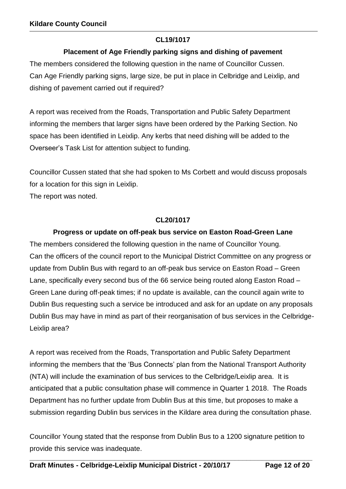# **CL19/1017**

# **Placement of Age Friendly parking signs and dishing of pavement**

The members considered the following question in the name of Councillor Cussen. Can Age Friendly parking signs, large size, be put in place in Celbridge and Leixlip, and dishing of pavement carried out if required?

A report was received from the Roads, Transportation and Public Safety Department informing the members that larger signs have been ordered by the Parking Section. No space has been identified in Leixlip. Any kerbs that need dishing will be added to the Overseer's Task List for attention subject to funding.

Councillor Cussen stated that she had spoken to Ms Corbett and would discuss proposals for a location for this sign in Leixlip.

The report was noted.

# **CL20/1017**

# **Progress or update on off-peak bus service on Easton Road-Green Lane**

The members considered the following question in the name of Councillor Young. Can the officers of the council report to the Municipal District Committee on any progress or update from Dublin Bus with regard to an off-peak bus service on Easton Road – Green Lane, specifically every second bus of the 66 service being routed along Easton Road – Green Lane during off-peak times; if no update is available, can the council again write to Dublin Bus requesting such a service be introduced and ask for an update on any proposals Dublin Bus may have in mind as part of their reorganisation of bus services in the Celbridge-Leixlip area?

A report was received from the Roads, Transportation and Public Safety Department informing the members that the 'Bus Connects' plan from the National Transport Authority (NTA) will include the examination of bus services to the Celbridge/Leixlip area. It is anticipated that a public consultation phase will commence in Quarter 1 2018. The Roads Department has no further update from Dublin Bus at this time, but proposes to make a submission regarding Dublin bus services in the Kildare area during the consultation phase.

Councillor Young stated that the response from Dublin Bus to a 1200 signature petition to provide this service was inadequate.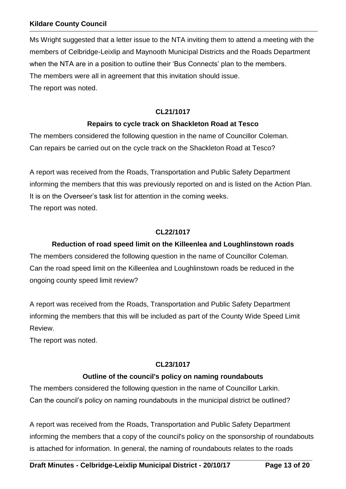Ms Wright suggested that a letter issue to the NTA inviting them to attend a meeting with the members of Celbridge-Leixlip and Maynooth Municipal Districts and the Roads Department when the NTA are in a position to outline their 'Bus Connects' plan to the members. The members were all in agreement that this invitation should issue. The report was noted.

# **CL21/1017**

# **Repairs to cycle track on Shackleton Road at Tesco**

The members considered the following question in the name of Councillor Coleman. Can repairs be carried out on the cycle track on the Shackleton Road at Tesco?

A report was received from the Roads, Transportation and Public Safety Department informing the members that this was previously reported on and is listed on the Action Plan. It is on the Overseer's task list for attention in the coming weeks. The report was noted.

# **CL22/1017**

# **Reduction of road speed limit on the Killeenlea and Loughlinstown roads**

The members considered the following question in the name of Councillor Coleman. Can the road speed limit on the Killeenlea and Loughlinstown roads be reduced in the ongoing county speed limit review?

A report was received from the Roads, Transportation and Public Safety Department informing the members that this will be included as part of the County Wide Speed Limit Review.

The report was noted.

# **CL23/1017**

# **Outline of the council's policy on naming roundabouts**

The members considered the following question in the name of Councillor Larkin. Can the council's policy on naming roundabouts in the municipal district be outlined?

A report was received from the Roads, Transportation and Public Safety Department informing the members that a copy of the council's policy on the sponsorship of roundabouts is attached for information. In general, the naming of roundabouts relates to the roads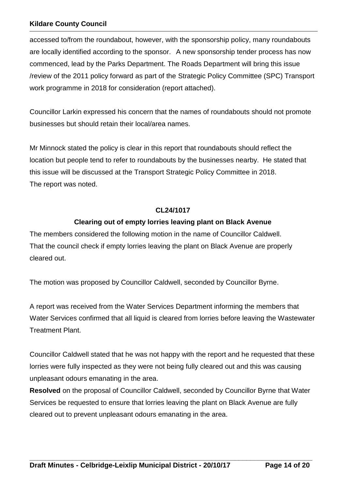accessed to/from the roundabout, however, with the sponsorship policy, many roundabouts are locally identified according to the sponsor. A new sponsorship tender process has now commenced, lead by the Parks Department. The Roads Department will bring this issue /review of the 2011 policy forward as part of the Strategic Policy Committee (SPC) Transport work programme in 2018 for consideration (report attached).

Councillor Larkin expressed his concern that the names of roundabouts should not promote businesses but should retain their local/area names.

Mr Minnock stated the policy is clear in this report that roundabouts should reflect the location but people tend to refer to roundabouts by the businesses nearby. He stated that this issue will be discussed at the Transport Strategic Policy Committee in 2018. The report was noted.

# **CL24/1017**

# **Clearing out of empty lorries leaving plant on Black Avenue**

The members considered the following motion in the name of Councillor Caldwell. That the council check if empty lorries leaving the plant on Black Avenue are properly cleared out.

The motion was proposed by Councillor Caldwell, seconded by Councillor Byrne.

A report was received from the Water Services Department informing the members that Water Services confirmed that all liquid is cleared from lorries before leaving the Wastewater Treatment Plant.

Councillor Caldwell stated that he was not happy with the report and he requested that these lorries were fully inspected as they were not being fully cleared out and this was causing unpleasant odours emanating in the area.

**Resolved** on the proposal of Councillor Caldwell, seconded by Councillor Byrne that Water Services be requested to ensure that lorries leaving the plant on Black Avenue are fully cleared out to prevent unpleasant odours emanating in the area.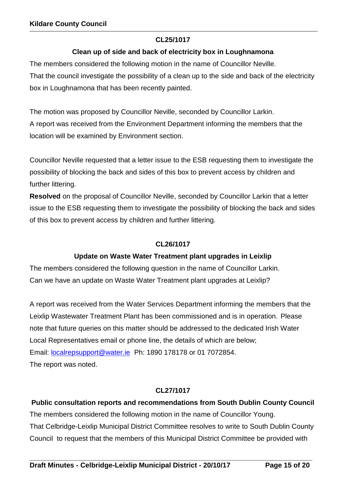# **CL25/1017**

# **Clean up of side and back of electricity box in Loughnamona**

The members considered the following motion in the name of Councillor Neville. That the council investigate the possibility of a clean up to the side and back of the electricity box in Loughnamona that has been recently painted.

The motion was proposed by Councillor Neville, seconded by Councillor Larkin. A report was received from the Environment Department informing the members that the location will be examined by Environment section.

Councillor Neville requested that a letter issue to the ESB requesting them to investigate the possibility of blocking the back and sides of this box to prevent access by children and further littering.

**Resolved** on the proposal of Councillor Neville, seconded by Councillor Larkin that a letter issue to the ESB requesting them to investigate the possibility of blocking the back and sides of this box to prevent access by children and further littering.

# **CL26/1017**

# **Update on Waste Water Treatment plant upgrades in Leixlip**

The members considered the following question in the name of Councillor Larkin. Can we have an update on Waste Water Treatment plant upgrades at Leixlip?

A report was received from the Water Services Department informing the members that the Leixlip Wastewater Treatment Plant has been commissioned and is in operation. Please note that future queries on this matter should be addressed to the dedicated Irish Water Local Representatives email or phone line, the details of which are below; Email: [localrepsupport@water.ie](mailto:localrepsupport@water.ie) Ph: 1890 178178 or 01 7072854. The report was noted.

# **CL27/1017**

**Public consultation reports and recommendations from South Dublin County Council** The members considered the following motion in the name of Councillor Young. That Celbridge-Leixlip Municipal District Committee resolves to write to South Dublin County Council to request that the members of this Municipal District Committee be provided with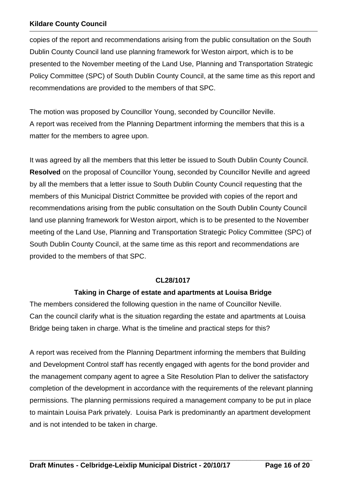copies of the report and recommendations arising from the public consultation on the South Dublin County Council land use planning framework for Weston airport, which is to be presented to the November meeting of the Land Use, Planning and Transportation Strategic Policy Committee (SPC) of South Dublin County Council, at the same time as this report and recommendations are provided to the members of that SPC.

The motion was proposed by Councillor Young, seconded by Councillor Neville. A report was received from the Planning Department informing the members that this is a matter for the members to agree upon.

It was agreed by all the members that this letter be issued to South Dublin County Council. **Resolved** on the proposal of Councillor Young, seconded by Councillor Neville and agreed by all the members that a letter issue to South Dublin County Council requesting that the members of this Municipal District Committee be provided with copies of the report and recommendations arising from the public consultation on the South Dublin County Council land use planning framework for Weston airport, which is to be presented to the November meeting of the Land Use, Planning and Transportation Strategic Policy Committee (SPC) of South Dublin County Council, at the same time as this report and recommendations are provided to the members of that SPC.

### **CL28/1017**

# **Taking in Charge of estate and apartments at Louisa Bridge**

The members considered the following question in the name of Councillor Neville. Can the council clarify what is the situation regarding the estate and apartments at Louisa Bridge being taken in charge. What is the timeline and practical steps for this?

A report was received from the Planning Department informing the members that Building and Development Control staff has recently engaged with agents for the bond provider and the management company agent to agree a Site Resolution Plan to deliver the satisfactory completion of the development in accordance with the requirements of the relevant planning permissions. The planning permissions required a management company to be put in place to maintain Louisa Park privately. Louisa Park is predominantly an apartment development and is not intended to be taken in charge.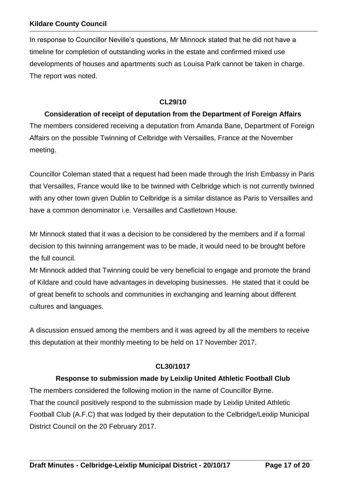In response to Councillor Neville's questions, Mr Minnock stated that he did not have a timeline for completion of outstanding works in the estate and confirmed mixed use developments of houses and apartments such as Louisa Park cannot be taken in charge. The report was noted.

#### **CL29/10**

# **Consideration of receipt of deputation from the Department of Foreign Affairs**

The members considered receiving a deputation from Amanda Bane, Department of Foreign Affairs on the possible Twinning of Celbridge with Versailles, France at the November meeting.

Councillor Coleman stated that a request had been made through the Irish Embassy in Paris that Versailles, France would like to be twinned with Celbridge which is not currently twinned with any other town given Dublin to Celbridge is a similar distance as Paris to Versailles and have a common denominator i.e. Versailles and Castletown House.

Mr Minnock stated that it was a decision to be considered by the members and if a formal decision to this twinning arrangement was to be made, it would need to be brought before the full council.

Mr Minnock added that Twinning could be very beneficial to engage and promote the brand of Kildare and could have advantages in developing businesses. He stated that it could be of great benefit to schools and communities in exchanging and learning about different cultures and languages.

A discussion ensued among the members and it was agreed by all the members to receive this deputation at their monthly meeting to be held on 17 November 2017.

# **CL30/1017**

### **Response to submission made by Leixlip United Athletic Football Club**

The members considered the following motion in the name of Councillor Byrne. That the council positively respond to the submission made by Leixlip United Athletic Football Club (A.F.C) that was lodged by their deputation to the Celbridge/Leixlip Municipal District Council on the 20 February 2017.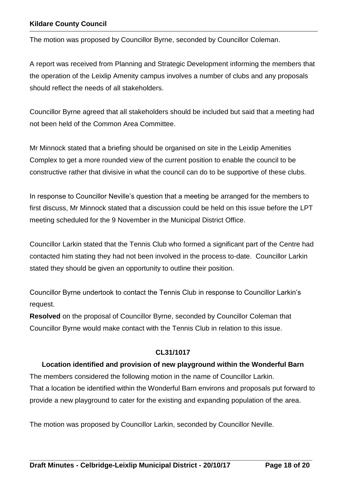The motion was proposed by Councillor Byrne, seconded by Councillor Coleman.

A report was received from Planning and Strategic Development informing the members that the operation of the Leixlip Amenity campus involves a number of clubs and any proposals should reflect the needs of all stakeholders.

Councillor Byrne agreed that all stakeholders should be included but said that a meeting had not been held of the Common Area Committee.

Mr Minnock stated that a briefing should be organised on site in the Leixlip Amenities Complex to get a more rounded view of the current position to enable the council to be constructive rather that divisive in what the council can do to be supportive of these clubs.

In response to Councillor Neville's question that a meeting be arranged for the members to first discuss, Mr Minnock stated that a discussion could be held on this issue before the LPT meeting scheduled for the 9 November in the Municipal District Office.

Councillor Larkin stated that the Tennis Club who formed a significant part of the Centre had contacted him stating they had not been involved in the process to-date. Councillor Larkin stated they should be given an opportunity to outline their position.

Councillor Byrne undertook to contact the Tennis Club in response to Councillor Larkin's request.

**Resolved** on the proposal of Councillor Byrne, seconded by Councillor Coleman that Councillor Byrne would make contact with the Tennis Club in relation to this issue.

# **CL31/1017**

### **Location identified and provision of new playground within the Wonderful Barn**

The members considered the following motion in the name of Councillor Larkin. That a location be identified within the Wonderful Barn environs and proposals put forward to provide a new playground to cater for the existing and expanding population of the area.

**\_\_\_\_\_\_\_\_\_\_\_\_\_\_\_\_\_\_\_\_\_\_\_\_\_\_\_\_\_\_\_\_\_\_\_\_\_\_\_\_\_\_\_\_\_\_\_\_\_\_\_\_\_\_\_\_\_\_\_\_\_\_\_\_\_\_\_\_\_\_\_\_\_**

The motion was proposed by Councillor Larkin, seconded by Councillor Neville.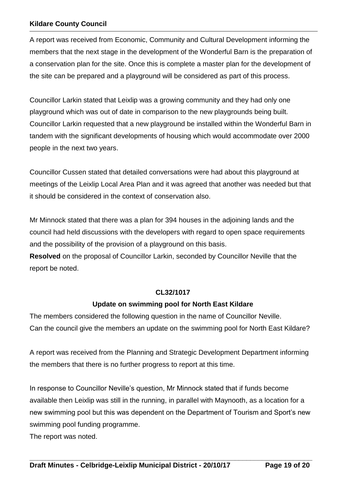A report was received from Economic, Community and Cultural Development informing the members that the next stage in the development of the Wonderful Barn is the preparation of a conservation plan for the site. Once this is complete a master plan for the development of the site can be prepared and a playground will be considered as part of this process.

Councillor Larkin stated that Leixlip was a growing community and they had only one playground which was out of date in comparison to the new playgrounds being built. Councillor Larkin requested that a new playground be installed within the Wonderful Barn in tandem with the significant developments of housing which would accommodate over 2000 people in the next two years.

Councillor Cussen stated that detailed conversations were had about this playground at meetings of the Leixlip Local Area Plan and it was agreed that another was needed but that it should be considered in the context of conservation also.

Mr Minnock stated that there was a plan for 394 houses in the adjoining lands and the council had held discussions with the developers with regard to open space requirements and the possibility of the provision of a playground on this basis.

**Resolved** on the proposal of Councillor Larkin, seconded by Councillor Neville that the report be noted.

### **CL32/1017**

# **Update on swimming pool for North East Kildare**

The members considered the following question in the name of Councillor Neville. Can the council give the members an update on the swimming pool for North East Kildare?

A report was received from the Planning and Strategic Development Department informing the members that there is no further progress to report at this time.

In response to Councillor Neville's question, Mr Minnock stated that if funds become available then Leixlip was still in the running, in parallel with Maynooth, as a location for a new swimming pool but this was dependent on the Department of Tourism and Sport's new swimming pool funding programme.

**\_\_\_\_\_\_\_\_\_\_\_\_\_\_\_\_\_\_\_\_\_\_\_\_\_\_\_\_\_\_\_\_\_\_\_\_\_\_\_\_\_\_\_\_\_\_\_\_\_\_\_\_\_\_\_\_\_\_\_\_\_\_\_\_\_\_\_\_\_\_\_\_\_**

The report was noted.